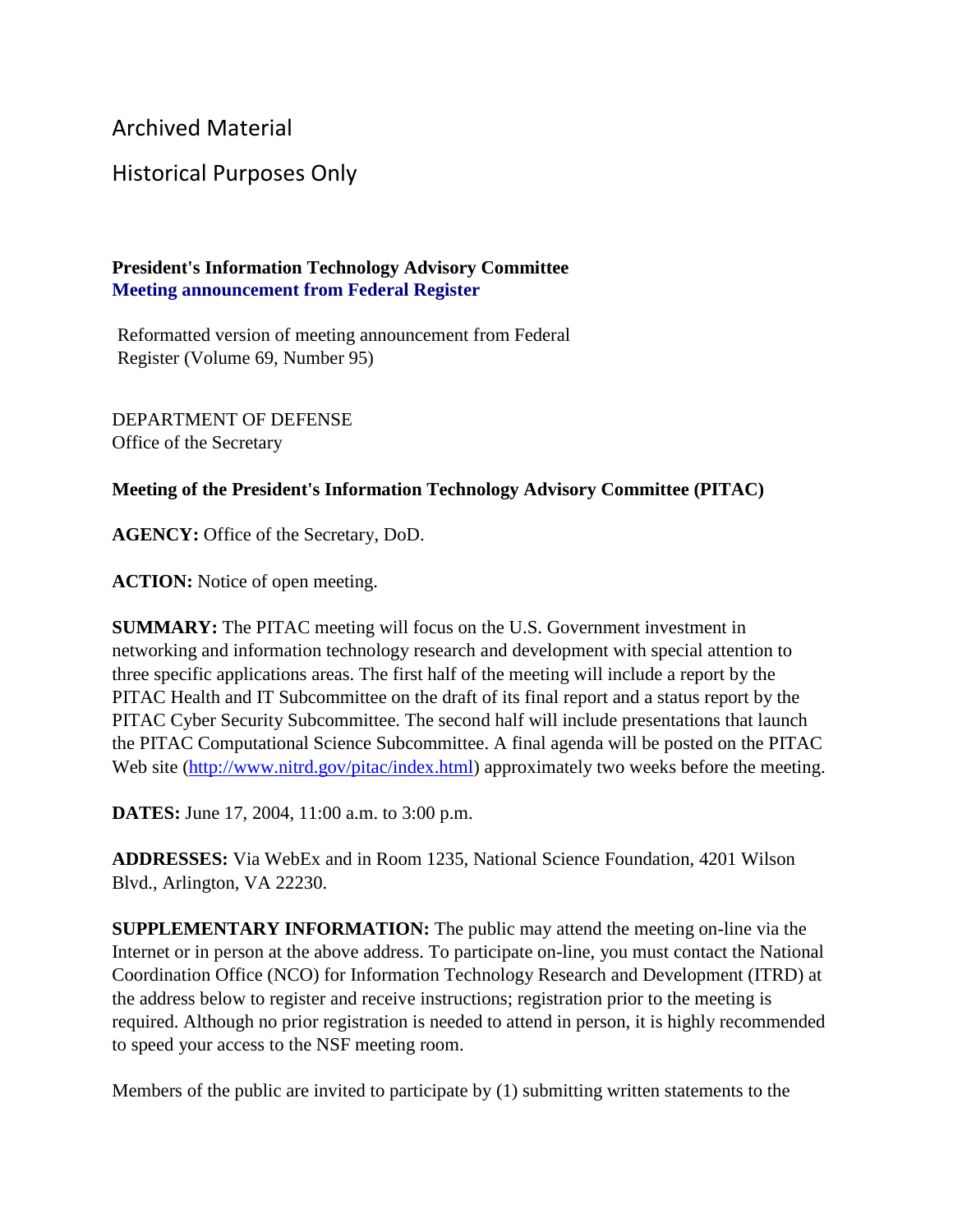Archived Material

## Historical Purposes Only

## **President's Information Technology Advisory Committee Meeting announcement from Federal Register**

Reformatted version of meeting announcement from Federal Register (Volume 69, Number 95)

DEPARTMENT OF DEFENSE Office of the Secretary

## **Meeting of the President's Information Technology Advisory Committee (PITAC)**

**AGENCY:** Office of the Secretary, DoD.

**ACTION:** Notice of open meeting.

**SUMMARY:** The PITAC meeting will focus on the U.S. Government investment in networking and information technology research and development with special attention to three specific applications areas. The first half of the meeting will include a report by the PITAC Health and IT Subcommittee on the draft of its final report and a status report by the PITAC Cyber Security Subcommittee. The second half will include presentations that launch the PITAC Computational Science Subcommittee. A final agenda will be posted on the PITAC Web site [\(http://www.nitrd.gov/pitac/index.html\)](https://www.nitrd.gov/pitac/index.html) approximately two weeks before the meeting.

**DATES:** June 17, 2004, 11:00 a.m. to 3:00 p.m.

**ADDRESSES:** Via WebEx and in Room 1235, National Science Foundation, 4201 Wilson Blvd., Arlington, VA 22230.

**SUPPLEMENTARY INFORMATION:** The public may attend the meeting on-line via the Internet or in person at the above address. To participate on-line, you must contact the National Coordination Office (NCO) for Information Technology Research and Development (ITRD) at the address below to register and receive instructions; registration prior to the meeting is required. Although no prior registration is needed to attend in person, it is highly recommended to speed your access to the NSF meeting room.

Members of the public are invited to participate by (1) submitting written statements to the